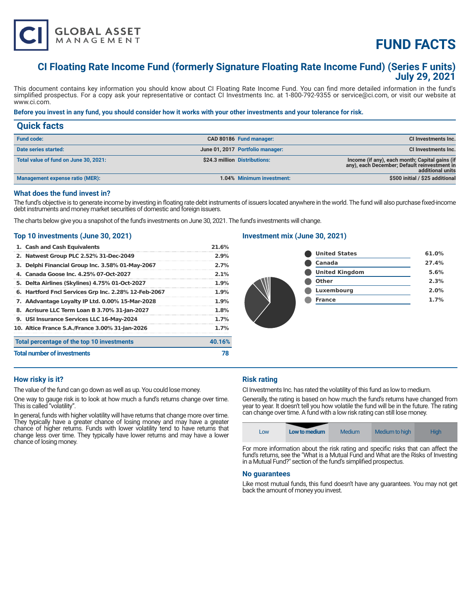

# **FUND FACTS**

# **CI Floating Rate Income Fund (formerly Signature Floating Rate Income Fund) (Series F units) July 29, 2021**

This document contains key information you should know about CI Floating Rate Income Fund. You can find more detailed information in the fund's simplified prospectus. For a copy ask your representative or contact CI Investments Inc. at 1-800-792-9355 or service@ci.com, or visit our website at www.ci.com.

## **Before you invest in any fund, you should consider how it works with your other investments and your tolerance for risk.**

| <b>Quick facts</b>                    |                                  |                                                                                                                    |
|---------------------------------------|----------------------------------|--------------------------------------------------------------------------------------------------------------------|
| <b>Fund code:</b>                     | CAD 80186 Fund manager:          | CI Investments Inc.                                                                                                |
| Date series started:                  | June 01, 2017 Portfolio manager: | CI Investments Inc.                                                                                                |
| Total value of fund on June 30, 2021: | \$24.3 million Distributions:    | Income (if any), each month; Capital gains (if<br>any), each December; Default reinvestment in<br>additional units |
| Management expense ratio (MER):       | 1.04% Minimum investment:        | \$500 initial / \$25 additional                                                                                    |

#### **What does the fund invest in?**

The fund's objective is to generate income by investing in floating rate debt instruments of issuers located anywhere in the world. The fund will also purchase fixed-income debt instruments and money market securities of domestic and foreign issuers.

The charts below give you a snapshot of the fund's investments on June 30, 2021. The fund's investments will change.

#### **Top 10 investments (June 30, 2021)**

| 1. Cash and Cash Equivalents                         | 21.6%   |
|------------------------------------------------------|---------|
| 2. Natwest Group PLC 2.52% 31-Dec-2049               | 2.9%    |
| 3. Delphi Financial Group Inc. 3.58% 01-May-2067     | 2.7%    |
| 4. Canada Goose Inc. 4.25% 07-Oct-2027               | 2.1%    |
| 5. Delta Airlines (Skylines) 4.75% 01-Oct-2027       | $1.9\%$ |
| 6. Hartford Fncl Services Grp Inc. 2.28% 12-Feb-2067 | $1.9\%$ |
| 7. AAdvantage Loyalty IP Ltd. 0.00% 15-Mar-2028      | $1.9\%$ |
| 8. Acrisure LLC Term Loan B 3.70% 31-Jan-2027        | 1.8%    |
| 9. USI Insurance Services LLC 16-May-2024            | 1.7%    |
| 10. Altice France S.A./France 3.00% 31-Jan-2026      | 1.7%    |
| Total percentage of the top 10 investments           | 40.16%  |
| <b>Total number of investments</b>                   | 78      |

# **Investment mix (June 30, 2021)**

| <b>United States</b>  | 61.0% |
|-----------------------|-------|
| Canada                | 27.4% |
| <b>United Kingdom</b> | 5.6%  |
| <b>Other</b>          | 2.3%  |
| Luxembourg            | 2.0%  |
| <b>France</b>         | 1.7%  |
|                       |       |

# **How risky is it?**

The value of the fund can go down as well as up. You could lose money.

One way to gauge risk is to look at how much a fund's returns change over time. This is called "volatility".

In general, funds with higher volatility will have returns that change more over time. They typically have a greater chance of losing money and may have a greater chance of higher returns. Funds with lower volatility tend to have returns that change less over time. They typically have lower returns and may have a lower chance of losing money.

#### **Risk rating**

CI Investments Inc. has rated the volatility of this fund as low to medium.

Generally, the rating is based on how much the fund's returns have changed from year to year. It doesn't tell you how volatile the fund will be in the future. The rating can change over time. A fund with a low risk rating can still lose money.



For more information about the risk rating and specific risks that can affect the fund's returns, see the "What is a Mutual Fund and What are the Risks of Investing in a Mutual Fund?" section of the fund's simplified prospectus.

#### **No guarantees**

Like most mutual funds, this fund doesn't have any guarantees. You may not get back the amount of money you invest.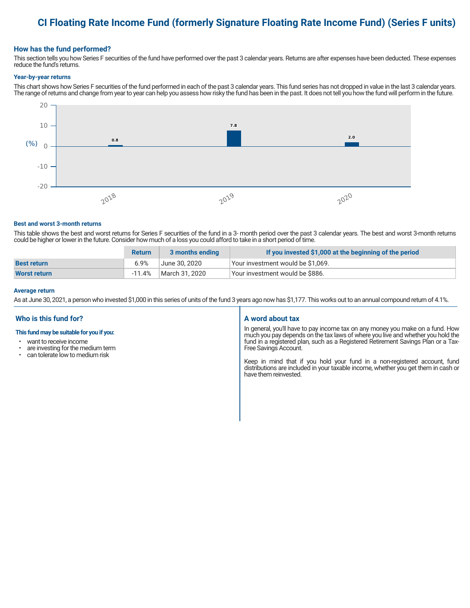# **CI Floating Rate Income Fund (formerly Signature Floating Rate Income Fund) (Series F units)**

### **How has the fund performed?**

This section tells you how Series F securities of the fund have performed over the past 3 calendar years. Returns are after expenses have been deducted. These expenses reduce the fund's returns.

#### **Year-by-year returns**

This chart shows how Series F securities of the fund performed in each of the past 3 calendar years. This fund series has not dropped in value in the last 3 calendar years. The range of returns and change from year to year can help you assess how risky the fund has been in the past. It does not tell you how the fund will perform in the future.



#### **Best and worst 3-month returns**

This table shows the best and worst returns for Series F securities of the fund in a 3- month period over the past 3 calendar years. The best and worst 3-month returns could be higher or lower in the future. Consider how much of a loss you could afford to take in a short period of time.

|                     | <b>Return</b> | 3 months ending | If you invested \$1,000 at the beginning of the period |
|---------------------|---------------|-----------------|--------------------------------------------------------|
| <b>Best return</b>  | 6.9%          | June 30. 2020   | Vour investment would be \$1,069.                      |
| <b>Worst return</b> | -11.4%        | March 31, 2020  | Vour investment would be \$886.                        |

#### **Average return**

As at June 30, 2021, a person who invested \$1,000 in this series of units of the fund 3 years ago now has \$1,177. This works out to an annual compound return of 4.1%.

## **Who is this fund for?**

#### **This fund may be suitable for you if you:**

- want to receive income
- are investing for the medium term<br>• can telerate low to medium risk
- can tolerate low to medium risk

#### **A word about tax**

In general, you'll have to pay income tax on any money you make on a fund. How much you pay depends on the tax laws of where you live and whether you hold the fund in a registered plan, such as a Registered Retirement Savings Plan or a Tax-Free Savings Account.

Keep in mind that if you hold your fund in a non-registered account, fund distributions are included in your taxable income, whether you get them in cash or have them reinvested.